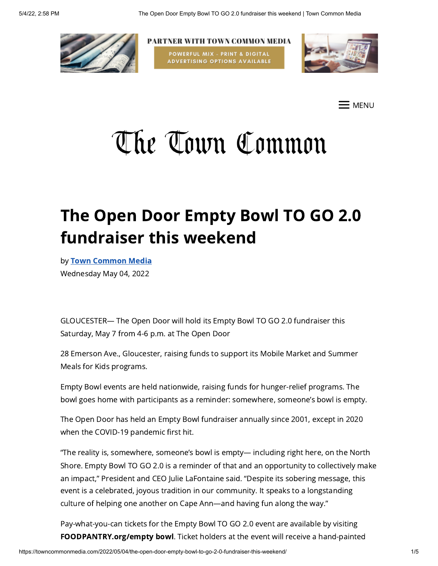

PARTNER WITH TOWN COMMON MEDIA POWERFUL MIX - PRINT & DIGITAL **ADVERTISING OPTIONS AVAILABLE** 



 $\mathsf{\Xi}$  menu

# The Town Common

# The Open Door Empty Bowl TO GO 2.0 fundraiser this weekend

by Town [Common](https://towncommonmedia.com/author/towncommonmedia/) Media Wednesday May 04, 2022

GLOUCESTER— The Open Door will hold its Empty Bowl TO GO 2.0 fundraiser this Saturday, May 7 from 4-6 p.m. at The Open Door

28 Emerson Ave., Gloucester, raising funds to support its Mobile Market and Summer Meals for Kids programs.

Empty Bowl events are held nationwide, raising funds for hunger-relief programs. The bowl goes home with participants as a reminder: somewhere, someone's bowl is empty.

The Open Door has held an Empty Bowl fundraiser annually since 2001, except in 2020 when the COVID-19 pandemic first hit.

"The reality is, somewhere, someone's bowl is empty— including right here, on the North Shore. Empty Bowl TO GO 2.0 is a reminder of that and an opportunity to collectively make an impact," President and CEO Julie LaFontaine said. "Despite its sobering message, this event is a celebrated, joyous tradition in our community. It speaks to a longstanding culture of helping one another on Cape Ann—and having fun along the way."

Pay-what-you-can tickets for the Empty Bowl TO GO 2.0 event are available by visiting FOODPANTRY.org/empty bowl. Ticket holders at the event will receive a hand-painted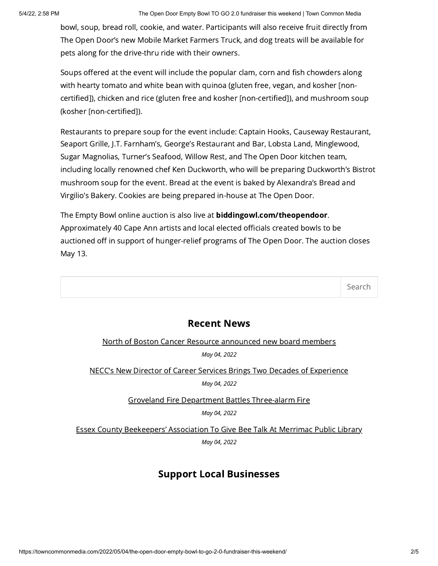bowl, soup, bread roll, cookie, and water. Participants will also receive fruit directly from The Open Door's new Mobile Market Farmers Truck, and dog treats will be available for pets along for the drive-thru ride with their owners.

Soups offered at the event will include the popular clam, corn and fish chowders along with hearty tomato and white bean with quinoa (gluten free, vegan, and kosher [noncertified]), chicken and rice (gluten free and kosher [non-certified]), and mushroom soup (kosher [non-certified]).

Restaurants to prepare soup for the event include: Captain Hooks, Causeway Restaurant, Seaport Grille, J.T. Farnham's, George's Restaurant and Bar, Lobsta Land, Minglewood, Sugar Magnolias, Turner's Seafood, Willow Rest, and The Open Door kitchen team, including locally renowned chef Ken Duckworth, who will be preparing Duckworth's Bistrot mushroom soup for the event. Bread at the event is baked by Alexandra's Bread and Virgilio's Bakery. Cookies are being prepared in-house at The Open Door.

The Empty Bowl online auction is also live at biddingowl.com/theopendoor. Approximately 40 Cape Ann artists and local elected officials created bowls to be auctioned off in support of hunger-relief programs of The Open Door. The auction closes May 13.

Search

#### Recent News

North of Boston Cancer Resource [announced](https://towncommonmedia.com/2022/05/04/north-of-boston-cancer-resource-announced-new-board-members/) new board members May 04, 2022

NECC's New Director of Career Services Brings Two Decades of [Experience](https://towncommonmedia.com/2022/05/04/neccs-new-director-of-career-services-brings-two-decades-of-experience/)

May 04, 2022

Groveland Fire Department Battles [Three-alarm](https://towncommonmedia.com/2022/05/04/groveland-fire-department-battles-three-alarm-fire/) Fire

May 04, 2022

Essex County [Beekeepers'](https://towncommonmedia.com/2022/05/04/essex-county-beekeepers-association-to-give-bee-talk-at-merrimac-public-library/) Association To Give Bee Talk At Merrimac Public Library May 04, 2022

## Support Local Businesses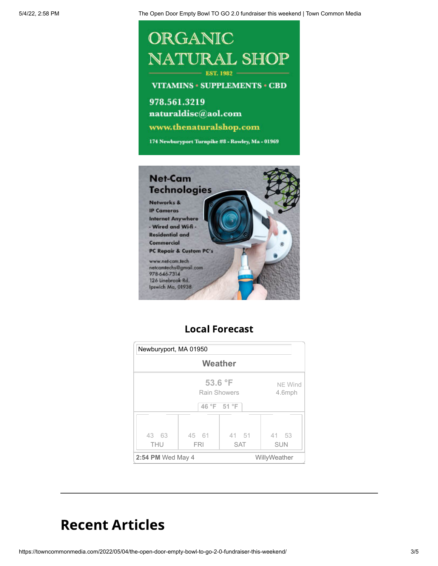## ORGANIC NATURAL SHOP  $-$  EST. 1982

**VITAMINS · SUPPLEMENTS · CBD** 

978.561.3219 naturaldisc@aol.com www.thenaturalshop.com 174 Newburyport Turnpike #8 - Rowley, Ma - 01969



## Local Forecast



## Recent Articles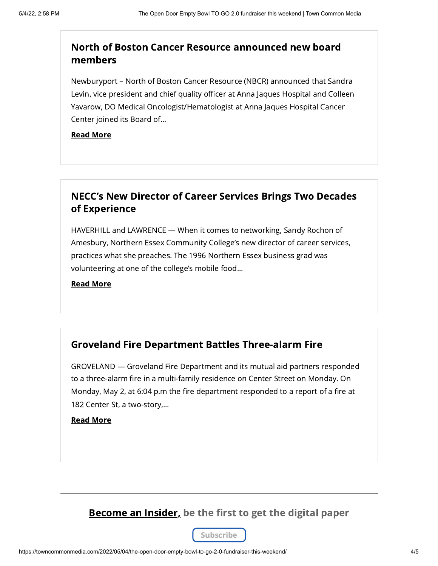### North of Boston Cancer Resource [announced](https://towncommonmedia.com/2022/05/04/north-of-boston-cancer-resource-announced-new-board-members/) new board members

Newburyport – North of Boston Cancer Resource (NBCR) announced that Sandra Levin, vice president and chief quality officer at Anna Jaques Hospital and Colleen Yavarow, DO Medical Oncologist/Hematologist at Anna Jaques Hospital Cancer Center joined its Board of...

#### Read [More](https://towncommonmedia.com/2022/05/04/north-of-boston-cancer-resource-announced-new-board-members/)

#### NECC's New Director of Career Services Brings Two Decades of [Experience](https://towncommonmedia.com/2022/05/04/neccs-new-director-of-career-services-brings-two-decades-of-experience/)

HAVERHILL and LAWRENCE — When it comes to networking, Sandy Rochon of Amesbury, Northern Essex Community College's new director of career services, practices what she preaches. The 1996 Northern Essex business grad was volunteering at one of the college's mobile food...

Read [More](https://towncommonmedia.com/2022/05/04/neccs-new-director-of-career-services-brings-two-decades-of-experience/)

#### Groveland Fire Department Battles [Three-alarm](https://towncommonmedia.com/2022/05/04/groveland-fire-department-battles-three-alarm-fire/) Fire

GROVELAND — Groveland Fire Department and its mutual aid partners responded to a three-alarm fire in a multi-family residence on Center Street on Monday. On Monday, May 2, at 6:04 p.m the fire department responded to a report of a fire at 182 Center St, a two-story,...

#### Read [More](https://towncommonmedia.com/2022/05/04/groveland-fire-department-battles-three-alarm-fire/)

**Become an Insider, be the first to get the digital paper**